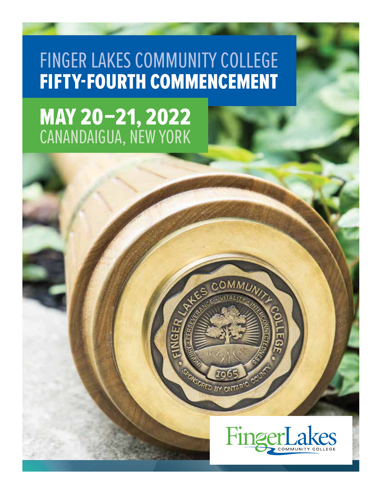# FINGER LAKES COMMUNITY COLLEGE FIFTY-FOURTH COMMENCEMENT

# MAY 20–21, 2022 CANANDAIGUA, NEW YORK



**IKSORIED**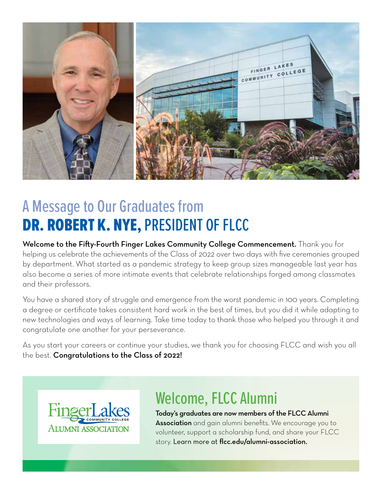

# A Message to Our Graduates from DR. ROBERT K. NYE, PRESIDENT OF FLCC

Welcome to the Fify-Fourth Finger Lakes Community College Commencement. Thank you for helping us celebrate the achievements of the Class of 2022 over two days with five ceremonies grouped by department. What started as a pandemic strategy to keep group sizes manageable last year has also become a series of more intimate events that celebrate relationships forged among classmates and their professors.

You have a shared story of struggle and emergence from the worst pandemic in 100 years. Completing a degree or certifcate takes consistent hard work in the best of times, but you did it while adapting to new technologies and ways of learning. Take time today to thank those who helped you through it and congratulate one another for your perseverance.

As you start your careers or continue your studies, we thank you for choosing FLCC and wish you all the best. Congratulations to the Class of 2022!



# Welcome, FLCC Alumni

Today's graduates are now members of the FLCC Alumni **Association** and gain alumni benefits. We encourage you to volunteer, support a scholarship fund, and share your FLCC story. Learn more at flcc.edu/alumni-association.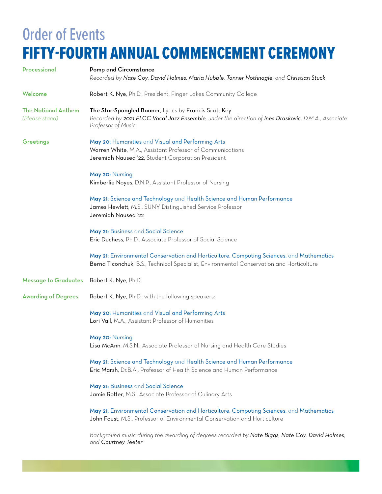# Order of Events FIFTY-FOURTH ANNUAL COMMENCEMENT CEREMONY

| Processional                                 | <b>Pomp and Circumstance</b><br>Recorded by Nate Coy, David Holmes, Maria Hubble, Tanner Nothnagle, and Christian Stuck                                                              |
|----------------------------------------------|--------------------------------------------------------------------------------------------------------------------------------------------------------------------------------------|
| Welcome                                      | Robert K. Nye, Ph.D., President, Finger Lakes Community College                                                                                                                      |
| <b>The National Anthem</b><br>(Please stand) | The Star-Spangled Banner, Lyrics by Francis Scott Key<br>Recorded by 2021 FLCC Vocal Jazz Ensemble, under the direction of Ines Draskovic, D.M.A., Associate<br>Professor of Music   |
| Greetings                                    | May 20: Humanities and Visual and Performing Arts<br>Warren White, M.A., Assistant Professor of Communications<br>Jeremiah Naused '22, Student Corporation President                 |
|                                              | May 20: Nursing<br>Kimberlie Noyes, D.N.P., Assistant Professor of Nursing                                                                                                           |
|                                              | May 21: Science and Technology and Health Science and Human Performance<br>James Hewlett, M.S., SUNY Distinguished Service Professor<br>Jeremiah Naused '22                          |
|                                              | May 21: Business and Social Science<br>Eric Duchess, Ph.D., Associate Professor of Social Science                                                                                    |
|                                              | May 21: Environmental Conservation and Horticulture, Computing Sciences, and Mathematics<br>Berna Ticonchuk, B.S., Technical Specialist, Environmental Conservation and Horticulture |
| <b>Message to Graduates</b>                  | Robert K. Nye, Ph.D.                                                                                                                                                                 |
| <b>Awarding of Degrees</b>                   | Robert K. Nye, Ph.D., with the following speakers:                                                                                                                                   |
|                                              | May 20: Humanities and Visual and Performing Arts<br>Lori Vail, M.A., Assistant Professor of Humanities                                                                              |
|                                              | May 20: Nursing<br>Lisa McAnn, M.S.N., Associate Professor of Nursing and Health Care Studies                                                                                        |
|                                              | May 21: Science and Technology and Health Science and Human Performance<br>Eric Marsh, Dr.B.A., Professor of Health Science and Human Performance                                    |
|                                              | May 21: Business and Social Science<br>Jamie Rotter, M.S., Associate Professor of Culinary Arts                                                                                      |
|                                              | May 21: Environmental Conservation and Horticulture, Computing Sciences, and Mathematics<br>John Foust, M.S., Professor of Environmental Conservation and Horticulture               |
|                                              | Background music during the awarding of degrees recorded by Nate Biggs, Nate Coy, David Holmes,<br>and Courtney Teeter                                                               |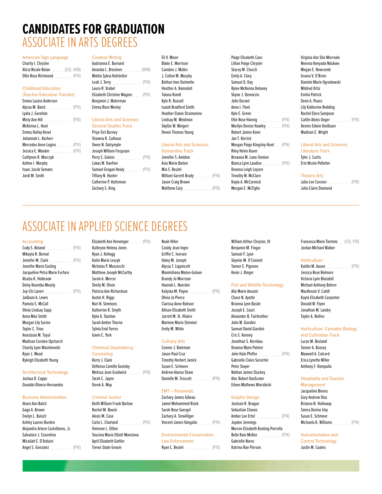# **CANDIDATES FOR GRADUATION**  ASSOCIATE IN ARTS DEGREES

| Charity I. Chrysler |            | Audrianna E. Barnard     |       | <b>Blake E. Morrison</b> | Lillian Paige Chrysler | Nnenna Kenvada Nd |
|---------------------|------------|--------------------------|-------|--------------------------|------------------------|-------------------|
| Alicia Nicole Nolan | (CSE, HON) | Amanda L. Brockner       | (HON) | Camden J. Muller         | Stacev M. Church       | Megan E. Newcomb  |
| Ollie Rose Richmond |            | Mattia Sylvia Hofstetter |       | . Colton M. Murphy       | Emily A. Clarv         | Grania V. O'Brien |

| Emma Louise Andersen      |       | Benjamin J. Waterman              | Kyle R. Russell                   | John Durant                         | Demi A. Peace              |
|---------------------------|-------|-----------------------------------|-----------------------------------|-------------------------------------|----------------------------|
| Alyssa M. Baird           | (PTK) | Emma Rose Wesley                  | <b>Isaiah Bradford Smith</b>      | Anna I. Fleet                       | Lily Katherine Redding     |
| Lydia J. Garofalo         |       |                                   | <b>Heather Elaine Stramonine</b>  | Kyle E. Green                       | Rachel Elora Sampson       |
| Misty Ann Hill            | (PTK) | <b>Liberal Arts and Sciences:</b> | Lindsay M. Weidman                | Ellie Rose Hannig<br>(PTK)          | Caitlin Alexis Unger       |
| McKenna L. Hunt           |       | <b>General Studies Track</b>      | Skyllar W. Weigert                | Marilyn Denise Hawley<br>(PTK)      | Dennis Edwin VanDuse       |
| Emma Hailey Kesel         |       | Priya Tori Burney                 | Devon Thomas Young                | Robert James Kane                   | Madison E. Wright          |
| Johannah L. Korherr       |       | Shawna R. Calhoun                 |                                   | Jan T. Kerrick                      |                            |
| Mercedes Anne Logins      | (PTK) | Owen N. Dalrymple                 | <b>Liberal Arts and Sciences:</b> | Morgan Paige Kingsley-Hunt<br>(PTK) | <b>Liberal Arts and Sc</b> |
| Jessica E. Mander         | (PTK) | Joseph William Ferguson           | <b>Humanities Track</b>           | Riley Helen Kuver                   | Literature Track           |
| Caitlynne R. Marczyk      |       | Perry S. Galens<br>(PTK)          | Jennifer S. Amidon                | Breaona M. Lane-Tomion              | Tyler J. Curtis            |
| Ashlee I. Murphy          |       | Lukas W. Haefner                  | Asia Marie Barker                 | Bianca Lynn Laudise<br>(PTK)        | Erin Nicole Pelletier      |
| <b>Isaac Jacob Semans</b> |       | Samuel Grogan Healy<br>(PTK)      | Mia S. Beutel                     | Deanna Leigh Loysen                 |                            |
| Jordi M. Smith            |       | Tiffany N. Hunter                 | (PTK)<br>William Garrett Brady    | Timothy W. McClare                  | <b>Theatre Arts</b>        |
|                           |       |                                   |                                   |                                     |                            |

| Alicia Nicole Noian (USE, HUN) | Amanda L. Brockner<br>(HUN)         | 'Lamden J. M         |
|--------------------------------|-------------------------------------|----------------------|
| Ollie Rose Richmond<br>(PTK)   | Mattia Sylvia Hofstetter            | J. Colton M. I       |
|                                | Leah J. Terry<br>(PTK)              | Bethan Inez (        |
| <b>Childhood Education</b>     | Laura R. Vrabel                     | Heather A. Ra        |
| (Teacher Education Transfer)   | Elizabeth Christine Wagner<br>(PTK) | <b>Talana Rundt</b>  |
| Emma Louise Andersen           | Benjamin J. Waterman                | Kyle R. Russe        |
| Alvssa M. Baird<br>(PTK)       | Emma Rose Weslev                    | <b>Isaiah Bradfo</b> |

Shawna R. Calhoun Jan T. Kerrick

| Jessica E. Manuer    | P K | JOSEPH WILLIAM FEIGUSON |       | <b>Humanities frack</b> |       | <b>RIJEV HEIEII KUVEI</b> |       | спегаште тгаск        |       |
|----------------------|-----|-------------------------|-------|-------------------------|-------|---------------------------|-------|-----------------------|-------|
| Caitlynne R. Marczyk |     | Perry S. Galens         | (PTK) | Jennifer S. Amidon      |       | Breaona M. Lane-Tomion    |       | Tyler J. Curtis       |       |
| Ashlee I. Murphy     |     | Lukas W. Haefner        |       | Asia Marie Barker       |       | Bianca Lynn Laudise       | (PTK) | Erin Nicole Pelletier |       |
| Isaac Jacob Semans   |     | Samuel Grogan Healy     | (PTK) | Mia S. Beutel           |       | Deanna Leigh Loysen       |       |                       |       |
| Jordi M. Smith       |     | Tiffany N. Hunter       |       | William Garrett Brady   | (PTK) | Timothy W. McClare        |       | <b>Theatre Arts</b>   |       |
|                      |     | Catherine P. Hutteman   |       | Jason Craig Brown       |       | Kayla A. McCormick        |       | Julia Lee Corsner     | (PTK) |
|                      |     | Zachary S. King         |       | Matthew Cary            | (PTK) | Morgan E. McTighe         |       | Julia Claire Diamond  |       |
|                      |     |                         |       |                         |       |                           |       |                       |       |

American Sign Language Creative Writing Eli V. Moon Paige Elizabeth Case Virginia Ann Stio Morreale Audrianna E. Barnard **E. Barnard Blake E. Morrison** Blake E. Morrison Lillian Paige Chrysler November 2016 Nuenna Kenyada Ndukwe Ollie Rose Richmond \_\_\_\_\_\_\_\_\_\_\_\_ (PTK) Mattia Sylvia Hofstetter J. Colton M. Murphy Emily A. Clary Grania V. O'Brien  $\text{PTK}$  Bethan Inez Ouimette Samuel D. Day Samuel D. Day Daniele Marie Ogrodowski Childhood Education Laura R. Vrabel Heather A. Ramsdell Rylee McKenna Delaney Mildred Ortiz Lydia J. Garofalo Heather Elaine Stramonine Kyle E. Green Rachel Elora Sampson Liberal Arts and Sciences: Lindsay M. Weidman Ellie Rose Hannig Ellie Rose Hannig (PTK) Caitlin Alexis Unger (PTK) General Studies Track **Skyllar W. Weigert Schwart Marilyn Denise Hawley Consumers Edwin VanDuser** General Studies Track Owen N. Dalrymple **Liberal Arts and Sciences:** Morgan Paige Kingsley-Hunt \_\_\_ (PTK) Liberal Arts and Sciences: Jessica E. Mander \_\_\_\_\_\_\_\_\_\_\_\_\_\_ (PTK) Joseph William Ferguson Humanities Track Riley Helen Kuver Literature Track Morgan E. McTighe

# ASSOCIATE IN APPLIED SCIENCE DEGREES

| Accounting                      |       | Lintupeth Mill Hemmider<br>11111 | 110011 1111101                 |       | <b>HURTAIN ALGUAI VIII FUUT, III</b> | <b>THAT AND MOVEMENT IN THE REAL PROPERTY</b><br>$\cup$ $\cup$ $\vdash$ , $\cup$ $\cup$ |
|---------------------------------|-------|----------------------------------|--------------------------------|-------|--------------------------------------|-----------------------------------------------------------------------------------------|
| Cody S. Beland                  | (PTK) | Kathryne Helena Jones            | Casidy Jean Ingro              |       | Benjamin M. Fingar                   | Jordan Michael Walker                                                                   |
| Mikayla R. Bernal               |       | Ryan J. Kellogg                  | Griffin C. Iversen             |       | Samuel F. Lyon                       |                                                                                         |
| Jennifer M. Clark               | (PTK) | Katie Marie Leszyk               | Haley M. Joseph                |       | Skyelar M. O'Connell                 | <b>Horticulture</b>                                                                     |
| Jennifer Marie Easling          |       | Nicholas P. Mazzocchi            | Alyssa T. Lippincott           |       | Tanner E. Pignone                    | Kaitlin M. Aasen<br>(PTK)                                                               |
| Jacqueline Petra Marie Furfaro  |       | <b>Matthew Joseph McCarthy</b>   | Maximiliano Mateo-Galvan       |       | Kevin J. Rieger                      | Jessica Rose Belmore                                                                    |
| Alsatia K. Holbrook             |       | Sarah A. Mercer                  | <b>Brandy Jo Morrison</b>      |       |                                      | Victoria Lynn Blaisdell                                                                 |
| Delvy Koumba-Mouity             |       | Shelly M. Olsen                  | Hannah L. Noecker              |       | <b>Fish and Wildlife Technology</b>  | Michael Anthony Bohrer                                                                  |
| Joy-Chi Laneri                  | (PTK) | Patricia Ann Richardson          | Kalyska M. Payne               | (PTK) | Alia Marie Ansuini                   | MacKenzie V. Cahill                                                                     |
| JaiQuon A. Lewis                |       | Austin H. Riggs                  | Olivia Jo Pierce               |       | Chase N. Ayotte                      | Kayla Elizabeth Carpenter                                                               |
| Pamela S. McCall                |       | Nuri N. Simmons                  | Clarissa Anne Robson           |       | Brianna Lynn Basile                  | Donald W. Flynn                                                                         |
| Olivia Lindsay Sapp             |       | Katherine R. Smyth               | <b>Allison Elizabeth Smith</b> |       | Joseph E. Court                      | Jonathan M. Landry                                                                      |
| Anna Mae Smith                  |       | Kylie A. Stanton                 | Jarrett M. St. Hilaire         |       | Alexander B. Fairbrother             | Taylor A. Rollins                                                                       |
| Morgan Lily Surine              |       | Sarah Amber Thorne               | <b>Marlene Marie Stimmel</b>   |       | John W. Giardini                     |                                                                                         |
| Taylor C. Triou                 |       | Sylvia Enid Torres               | Emily M. White                 |       | Samuel David Giardini                | <b>Horticulture: Cannabis Biology</b>                                                   |
| Anastasia M. Tuyul              |       | Gavin C. York                    |                                |       | Cris S. Kenney                       | and Cultivation Track                                                                   |
| <b>Madison Coralee Upchurch</b> |       |                                  | <b>Culinary Arts</b>           |       | Jonathan S. Kornbau                  | Lucas M. Bosland                                                                        |
| Charity Lynn Wasielewski        |       | <b>Chemical Dependency</b>       | Connor J. Bateman              |       | Deanna Wynn Palmer                   | Tanner A. Bussey                                                                        |
| Ryan J. Wood                    |       | Counseling                       | Jason Paul Cruz                |       | John Hale Pfeffer<br>(PTK)           | Maxwell A. Colcord                                                                      |
| Ryleigh Elizabeth Young         |       | Kerry J. Clark                   | <b>Timothy Herbert Janick</b>  |       | <b>Gabrielle Claire Sorochin</b>     | Erica Lynette Miller                                                                    |
|                                 |       | DeVenne Comille Cooleku          | Cusso E. Colombia              |       | $D = L = L = L = L$                  | Anthonic F. Domainlle                                                                   |

Osvaldo Olivera-Hernandez Derek A. May Eileen Mathews Wierzbicki Management

# Business Administration Criminal Justice

Architectural Technology **Melissa Jean Gradwick (PTK)** Andrew Alanso Shaw Nathan James Stuckey

| <b>EMT</b> - Paramedic |       |                       |
|------------------------|-------|-----------------------|
| Zachary James Gibeau   |       | <b>Graphic Design</b> |
| Jamel Mohammed Rizek   |       | Jackson R. Braque     |
| Sarah Rose Soergel     |       | Sebastian Chavez      |
| Zachary A. Terwilliger |       | Amber Lee Ertel       |
| Vincent James Vangalio | (PTK) | Jayden Jennings       |

| Micailah<br>`Ardui |     | ۱nr<br>uranett.<br>.          |                     |      | Nare:<br>.                       |   |
|--------------------|-----|-------------------------------|---------------------|------|----------------------------------|---|
| Anael<br>zalı      | TK. | roor<br>$I$ rews<br>Nade<br>. | Beutel<br>בוול<br>. | /DTI | <b>Pie</b><br>son<br>atrına<br>. | . |

# Shelly M. Olsen **Fish and Wildlife Technology** Michael Anthony Bohrer Hannah L. Noecker Fish and Wildlife Technology Michael Anthony Bohrer

JaiQuon A. Lewis Austin H. Riggs Olivia Jo Pierce Chase N. Ayotte Kayla Elizabeth Carpenter Gavin C. York **Analysis M. Tuyul Gavin Cris Cris S. Kenney** Cris S. Kenney **Cris S. Kenney** and Cultivation Track Chemical Dependency Connor J. Bateman Deanna Wynn Palmer Chemical Dependency Connor J. Bateman Deanna Wynn Palmer Tanner A. Bussey Kerry J. Clark **Timothy Herbert Janick Gabrielle Claire Sorochin** Erica Lynette Miller DeYonna Camille Goolsby Susan E. Schmeer Peter Stayer Anthony F. Rampulla Joshua D. Capps Tarah C. Jayne Danielle M. Trescott \_\_\_\_\_\_\_\_\_\_\_\_ (PTK) Alec Robert VanScoter Hospitality and Tourism<br>Osvaldo Olivera-Hernandez Derek A. May Derek A. May Series A. Have Been Mathews Wierzbicki Management

| Alexis Ann Balch                  |       | Keith William Frank Barlow      | Jamel Mohammed Rizek               | Jackson R. Braque                 | Brianna N. Holloway           |
|-----------------------------------|-------|---------------------------------|------------------------------------|-----------------------------------|-------------------------------|
| Gage A. Brown                     |       | Rachel M. Boock                 | Sarah Rose Soergel                 | Sebastian Chavez                  | Tamra Denise Irby             |
| Evelyn L. Buisch                  |       | Alexis M. Case                  | Zachary A. Terwilliger             | Amber Lee Ertel<br>(PTK)          | Susan E. Schmeer              |
| Ashley Lauren Burden              |       | Carla L. Charland<br>(PTK)      | Vincent James Vangalio<br>(PTK)    | Jayden Jennings                   | (PTK)<br>Michaela K. Williams |
| Alejandro Arturo Castellanos, Jr. |       | Vivienne L. Dillon              |                                    | Murron Elizabeth Keating-Porcella |                               |
| Salvatore J. Cosentino            |       | Toscinia Marie Elliott-Monclova | <b>Environmental Conservation:</b> | Belle Rain McKee<br>(PTK)         | Instrumentation and           |
| Micailah E. D'Arduini             |       | April Elizabeth Gottler         | <b>Law Enforcement</b>             | <b>Gabrielle Nares</b>            | <b>Control Technology</b>     |
| Angel S. Gonzalez                 | (PIK) | <b>Trevor Slade Groom</b>       | Rvan C. Beutel                     | Katrina Rae Pierson               | Justin M. Coates              |

Accounting Elizabeth Ann Henninger \_\_\_\_\_\_\_\_ (PTK) Noah Hiller William Arthur Chrysler, III Francesca Marie Tiermini \_\_\_ (CSE, PTK)

# Sylvia Enid Torres **Emily M. White Samuel David Giardini** Horticulture: Cannabis Biology

| <b>Management</b>    |  |
|----------------------|--|
| Jacqueline Bivens    |  |
| Gary Andrew Diaz     |  |
| Brianna N. Holloway  |  |
| Tamra Denise Irby    |  |
| Susan E. Schmeer     |  |
| Michaela K. Williams |  |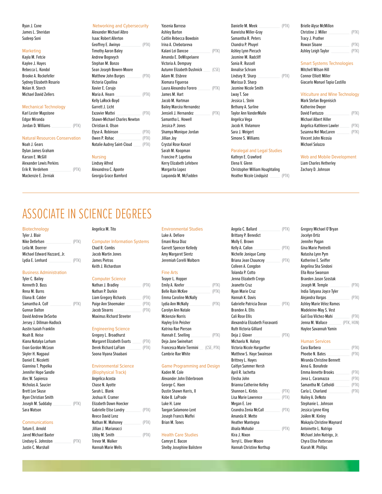| Karl Lester Mapstone |  |
|----------------------|--|
| Edgar Miranda        |  |
| Jordan D. Williams   |  |
|                      |  |

| Noah J. Gears           |      |
|-------------------------|------|
| Dylan James Graham      |      |
| Karson E. McGill        |      |
| Alexander Lewis Perkins |      |
| Erik R. Verdehem        | (PTI |
| Mackenzie E. Zerniak    |      |

| Ryan J. Cone                          | Networking and Cybersecurity        |       | Yasenia Barroso           |       | Danielle M. Meek              | (PTK) | <b>Brielle Alyse McMillon</b>          |       |
|---------------------------------------|-------------------------------------|-------|---------------------------|-------|-------------------------------|-------|----------------------------------------|-------|
| James L. Sheridan                     | Alexander Michael Albro             |       | Ashley Barton             |       | Kaneisha Miller-Gray          |       | Christine J. Miller                    | (PTK) |
| Sudeep Soni                           | <b>Isaac Robert Allerton</b>        |       | Caitlin Rebecca Bowdoin   |       | Samantha R. Peters            |       | Tracy J. Prather                       |       |
|                                       | Geoffrey E. Awinyo                  | (PTK) | Irina A. Chebotareva      |       | Chandra P. Phuyel             |       | Rowan Sloane                           | (PTK) |
| <b>Marketing</b>                      | <b>Timothy Aaron Baley</b>          |       | Kalani Lei Dancoe         | (PTK) | Ashley Lynn Piecuch           |       | Ashley Leigh Taylor                    | (PTK) |
| Kayla M. Fetcie                       | Andrew Bogovych                     |       | Amanda E. DeWispelaere    |       | Jasmine M. Radcliff           |       |                                        |       |
| Kaylee J. Hayes                       | Stephan M. Bonzo                    |       | Victoria A. Dempsey       |       | Sonia R. Russell              |       | <b>Smart Systems Technologies</b>      |       |
| Rebecca L. Kondol                     | Sean Joseph Bowen-Moore             |       | Autumn Elizabeth Dushnick | (CSE) | Annalise Schram               |       | Mitchell Wilson Hill                   |       |
| Brooke A. Rockefeller                 | <b>Matthew John Burges</b>          | (PTK) | Adam M. Elsbree           |       | Lindsey R. Sharp              | (PTK) | <b>Connor Elliott Miller</b>           |       |
| Sydney Elizabeth Rosario              | Victoria Cipollina                  |       | Xiomara Figueroa          |       | Marissa D. Sharp              |       | Giacarlo Manuel Tapia Castillo         |       |
| Nolan H. Storch                       | Xavier E. Corujo                    |       | Laura Alexandra Forero    | (PTK) | Jasmine Nicole Smith          |       |                                        |       |
| <b>Michael David Zellers</b>          | Maria A. Hearn                      | (PTK) | James M. Hart             |       | Lway T. Soe                   |       | <b>Viticulture and Wine Technology</b> |       |
|                                       | Kelly LaRock-Boyd                   |       | Jacob M. Hartman          |       | Jessica L. Stein              |       | Mark Stefan Begenisich                 |       |
| <b>Mechanical Technology</b>          | Garrett J. Licht                    |       | Bailey Marcèa Hernandez   |       | Bethany A. Surline            |       | Katherine Dwyer                        |       |
| Karl Lester Mapstone                  | <b>Exzavier Mattei</b>              | (PTK) | Jensieli J. Hernandez     | (PTK) | <b>Taylor Ann VanderMalle</b> |       | David Fantuzzo                         | (PTK) |
| Edgar Miranda                         | <b>Shawn-Michael Charles Newton</b> |       | Samantha L. Howell        |       | Angelica Vega                 |       | <b>Michael Albert Hiller</b>           |       |
| Jordan D. Williams<br>(PTK)           | Christian A. Olson                  |       | Jessica P. Jones          |       | Jacob H. Vivlamore            |       | Angelica Kathleen Lawler               | (PIK) |
|                                       | Elyse A. Robinson                   | (PTK) | Shamya Monique Jordan     |       | Sara J. Weigert               |       | Susanna Nel MacLaren                   | (PTK) |
| <b>Natural Resources Conservation</b> | Owen P. Rohac                       | (PTK) | Jillian Joy               |       | Simone S. Williams            |       | Vincent John Nicosia                   |       |
| Noah J. Gears                         | Natalie Audrey Saint-Cloud          | (PTK) | Crystal Rose Konzel       |       |                               |       | Michael Solazzo                        |       |

| Ryan J. Cone                          | Networking and Cybersecurity        | Yasenia Barroso           |       | Danielle M. Meek                         | (PTK) | <b>Brielle Alyse McMillon</b>         |      |
|---------------------------------------|-------------------------------------|---------------------------|-------|------------------------------------------|-------|---------------------------------------|------|
| James L. Sheridan                     | Alexander Michael Albro             | Ashley Barton             |       | Kaneisha Miller-Gray                     |       | Christine J. Miller                   | (PT  |
| Sudeep Soni                           | <b>Isaac Robert Allerton</b>        | Caitlin Rebecca Bowdoin   |       | Samantha R. Peters                       |       | Tracy J. Prather                      |      |
|                                       | Geoffrey E. Awinyo<br>(PTK)         | Irina A. Chebotareva      |       | Chandra P. Phuyel                        |       | <b>Rowan Sloane</b>                   | (PT  |
| <b>Marketing</b>                      | <b>Timothy Aaron Baley</b>          | Kalani Lei Dancoe         | (PTK) | Ashley Lynn Piecuch                      |       | Ashley Leigh Taylor                   | (PI) |
| Kayla M. Fetcie                       | Andrew Bogovych                     | Amanda E. DeWispelaere    |       | Jasmine M. Radcliff                      |       |                                       |      |
| Kaylee J. Hayes                       | Stephan M. Bonzo                    | Victoria A. Dempsey       |       | Sonia R. Russell                         |       | <b>Smart Systems Technologies</b>     |      |
| Rebecca L. Kondol                     | Sean Joseph Bowen-Moore             | Autumn Elizabeth Dushnick | (CSE) | Annalise Schram                          |       | Mitchell Wilson Hill                  |      |
| Brooke A. Rockefeller                 | Matthew John Burges<br>(PTK)        | Adam M. Elsbree           |       | Lindsey R. Sharp                         | (PTK) | <b>Connor Elliott Miller</b>          |      |
| Sydney Elizabeth Rosario              | Victoria Cipollina                  | Xiomara Figueroa          |       | Marissa D. Sharp                         |       | Giacarlo Manuel Tapia Castillo        |      |
| Nolan H. Storch                       | Xavier E. Corujo                    | Laura Alexandra Forero    | (PTK) | Jasmine Nicole Smith                     |       |                                       |      |
| <b>Michael David Zellers</b>          | Maria A. Hearn<br>(PTK)             | James M. Hart             |       | Lway T. Soe                              |       | <b>Viticulture and Wine Technolog</b> |      |
|                                       | Kelly LaRock-Boyd                   | Jacob M. Hartman          |       | Jessica L. Stein                         |       | Mark Stefan Begenisich                |      |
| <b>Mechanical Technology</b>          | Garrett J. Licht                    | Bailey Marcèa Hernandez   |       | Bethany A. Surline                       |       | Katherine Dwyer                       |      |
| Karl Lester Mapstone                  | <b>Exzavier Mattei</b><br>(PTK)     | Jensieli J. Hernandez     | (PTK) | <b>Taylor Ann VanderMalle</b>            |       | David Fantuzzo                        | (PT  |
| Edgar Miranda                         | <b>Shawn-Michael Charles Newton</b> | Samantha L. Howell        |       | Angelica Vega                            |       | <b>Michael Albert Hiller</b>          |      |
| Jordan D. Williams<br>(PTK)           | Christian A. Olson                  | Jessica P. Jones          |       | Jacob H. Vivlamore                       |       | Angelica Kathleen Lawler              | (PT  |
|                                       | Elyse A. Robinson<br>(PTK)          | Shamya Monique Jordan     |       | Sara J. Weigert                          |       | Susanna Nel MacLaren                  | (PT  |
| <b>Natural Resources Conservation</b> | Owen P. Rohac<br>(PTK)              | Jillian Joy               |       | Simone S. Williams                       |       | Vincent John Nicosia                  |      |
| Noah J. Gears                         | Natalie Audrey Saint-Cloud<br>(PTK) | Crystal Rose Konzel       |       |                                          |       | <b>Michael Solazzo</b>                |      |
| Dylan James Graham                    |                                     | Sarah M. Koopman          |       | <b>Paralegal and Legal Studies</b>       |       |                                       |      |
| Karson E. McGill                      | <b>Nursing</b>                      | Francine P. Lapetina      |       | Kathryn E. Crawford                      |       | <b>Web and Mobile Development</b>     |      |
| Alexander Lewis Perkins               | <b>Lindsey Alfred</b>               | Kerry Elizabeth Lefebvre  |       | Elena V. Glenn                           |       | Liam Charles Hetherley                |      |
| Erik R. Verdehem<br>(PTK)             | Alexandrea C. Aponte                | Margarita Lopez           |       | Christopher William Houghtaling          |       | Zachary D. Johnson                    |      |
| Mackenzie E Zerniak                   | Georgia Grace Bamford               | Laguonda M. McFadden      |       | <b>Heather Nicole Lindouist</b><br>(PTK) |       |                                       |      |

# Jasmine Nicole Smith Taylor Ann VanderMalle

# Paralegal and Legal Studies

Georgia Grace Bamford **Laquonda M. McFadden** Heather Nicole Lindquist **Laguonda M. McFadden** Heather Nicole Lindquist (PTK)

# Geofrey E. Awinyo \_\_\_\_\_\_\_\_\_\_\_\_\_\_ (PTK) Irina A. Chebotareva Chandra P. Phuyel Rowan Sloane \_\_\_\_\_\_\_\_\_\_\_\_\_\_\_\_\_\_\_ (PTK)

| Keliy Lakock-Boyu            |       | Jacob M. Hartman               | Jessica L. Stein              | Mark Stefan Begehisich       |       |
|------------------------------|-------|--------------------------------|-------------------------------|------------------------------|-------|
| Garrett J. Licht             |       | Bailey Marcèa Hernandez        | Bethany A. Surline            | Katherine Dwyer              |       |
| Exzavier Mattei              | (PTK) | (PTK)<br>Jensieli J. Hernandez | <b>Taylor Ann VanderMalle</b> | David Fantuzzo               | (PTK) |
| Shawn-Michael Charles Newton |       | Samantha L. Howell             | Angelica Vega                 | <b>Michael Albert Hiller</b> |       |
| Christian A. Olson           |       | Jessica P. Jones               | Jacob H. Vivlamore            | Angelica Kathleen Lawler     | (PTK) |
| Elyse A. Robinson            | (PTK) | Shamya Monique Jordan          | Sara J. Weigert               | Susanna Nel MacLaren         | (PTK) |
| Owen P. Rohac                | (PTK) | Jillian Jov                    | Simone S. Williams            | Vincent John Nicosia         |       |
| Natalie Audrey Saint-Cloud   | (PTK) | Crystal Rose Konzel            |                               | <b>Michael Solazzo</b>       |       |
|                              |       |                                |                               |                              |       |

# ASSOCIATE IN SCIENCE DEGREES

| Tyler J. Blair              |      |
|-----------------------------|------|
| Nike Detlefsen              | (PTK |
| Leila M. Doerrer            |      |
| Michael Edward Hazzard, Jr. |      |
| Lydia E. Lenhard            | (PTK |
|                             |      |

# **Business Administration** Fine Arts Tolanda P. Controller Rose Swanson Eine Arts Swanson Eine Arts Swanson Eine Arts

| Tyler C. Bailey           |  |
|---------------------------|--|
| Kenneth D. Bass           |  |
| Rena M. Burns             |  |
|                           |  |
| Eliana B. Calder          |  |
| Samantha A. Colf          |  |
| <b>Gunnar Dalton</b>      |  |
| David Andrew DeSorbo      |  |
| Jersey J. Dillman-Hadlock |  |
| Austin Isaiah Franklin    |  |
| Noah B Heise              |  |
| Kiana Natalya Larham      |  |
| <b>Fyan Gordon McLean</b> |  |
| Skyler H. Nagpaul         |  |
| Daniel E. Nicoletti       |  |
| Giannina T. Popelka       |  |
| Jennifer Hope Sandle      |  |
| Alec W. Sapienza          |  |
| Nicholas A. Saucier       |  |
| <b>Brett Lee Skuse</b>    |  |
| Ryan Christian Smith      |  |
| Joseph M. Suddaby         |  |
| Sara Watson               |  |
|                           |  |

| atum E. Arnold       |
|----------------------|
| lared Michael Baxter |
| indsey G. Johnston.  |
| Iustin C. Marshall   |

| <b>Computer Information System</b> |
|------------------------------------|
| Chad R. Combs                      |
| Jacob Martin Jones                 |
| James Pietras                      |
| Keith J. Richardson                |

# Tyler C. Bailey Computer Science Teayer L. Hopper Jenna Elizabeth Crego Braeden Jason Szostak

| Liam Gregory Richards           |  |
|---------------------------------|--|
| Paige Ann Shoemaker             |  |
| Jacob Stearns                   |  |
| <b>Maximus Richard Streeter</b> |  |

# **Engineering Science**

| (PTK) |
|-------|
| (PTK) |
|       |
|       |

| Angelica Acosta        |    |
|------------------------|----|
| Chase N. Avotte        |    |
| Sarah L. Blank         |    |
| Joshua H. Cramer       |    |
| Elizabeth Dawn Hoecker |    |
| Gabrielle Elise Landry | Œ  |
| Reece David Lenz       |    |
| Nathan M. Mahoney _    | (F |
| Jillian J. Marianacci  |    |
| Libby M. Smith         | (F |
| Trevor M. Walker       |    |
| Hannah Marie Wells     |    |
|                        |    |

# Biotechnology **Angelica M. Tito** Environmental Studies Angelica M. Tito

| Tyler C. Bailey           |       | <b>Computer Science</b>          |       | Teaver L. Hopper             |            | Jenna Elizabeth Crego           |       | <b>Braeden Jason Szostak</b> |            |
|---------------------------|-------|----------------------------------|-------|------------------------------|------------|---------------------------------|-------|------------------------------|------------|
| Kenneth D. Bass           |       | Nathan J. Bradley                | (PTK) | Emily A. Keefer              | (PTK)      | Jeanette Cruz                   |       | Joseph M. Temple             | (PTK)      |
| Rena M. Burns             |       | Nathan P. Durkin                 |       | <b>Belle Rain McKee</b>      | (PTK)      | Rvan Marie Cruz                 |       | India Tatyana Joyce Tyler    |            |
| Eliana B. Calder          |       | Liam Gregory Richards            | (PTK) | <b>Emma Caroline McNally</b> |            | Hannah K. Davis                 |       | Alejandra Vargas             | (PTK)      |
| Samantha A. Colf          | (PTK) | Paige Ann Shoemaker              | (PTK) | Lydia Ann McNally            | (PTK)      | Gabrielle Patricia Doran        | (PTK) | Ashley Marie Vélez Ramos     |            |
| Gunnar Dalton             |       | Jacob Stearns                    | (PTK) | Carolyn Ann Natale           |            | Brandee A. Ellis                |       | Madeleine-May S. Vest        |            |
| David Andrew DeSorbo      |       | <b>Maximus Richard Streeter</b>  |       | <b>Mckenzie Norris</b>       |            | Cali Rose Ellis                 |       | Gail Eva Vilchez-Mahi        | (PTK)      |
| Jersey J. Dillman-Hadlock |       |                                  |       | Hayley Erin Peisher          |            | Alexandria Elizabeth Fioravanti |       | Jenna M. Wallace             | (PTK, HON) |
| Austin Isaiah Franklin    |       | <b>Engineering Science</b>       |       | Katrina Rae Pierson          |            | Ruth Victoria Gilliard          |       | Haylee Savannah Yamin        |            |
| Noah B. Heise             |       | Gregory L. Broadhurst            |       | Hannah E. Snelling           | (PTK)      | Deja J. Glover                  | (PTK) |                              |            |
| Kiana Natalya Larham      |       | <b>Margaret Elizabeth Evarts</b> | (PTK) | Deja Jane Swinehart          |            | Michaela N. Halsey              |       | <b>Human Services</b>        |            |
| Evan Gordon McLean        |       | Derek Richard LaFlam             | (PTK) | Francesca Marie Tiermini     | (CSE, PTK) | Victoria Nicole Hargarther      |       | Cora Barbera                 | (PTK)      |
| Skyler H. Nagpaul         |       | Soona Viyana Shaabani            |       | <b>Cambrie Rae White</b>     |            | Matthew S. Haye Swainson        |       | Phoebe N. Bates              | (PTK)      |

# Environmental Science Game Programming and Design Caitlyn Summer Hersh Anna G. Bonafeder

# PTK) Health Care Studies

| Biotechnology<br>Tyler J. Blair |       | Angelica M. Tito                    |       | <b>Environmental Studies</b><br>Luke A. Defiore |            | Angela C. Ballard<br><b>Brittany P. Benedict</b> | (PTK) | Gregory Michael O'Bryan<br>Jocelyn Ortiz |            |
|---------------------------------|-------|-------------------------------------|-------|-------------------------------------------------|------------|--------------------------------------------------|-------|------------------------------------------|------------|
| Nike Detlefsen                  | (PTK) | <b>Computer Information Systems</b> |       | Emani Rosa Diaz                                 |            | Molly E. Brown                                   |       | Jennifer Pagan                           |            |
| Leila M. Doerrer                |       | Chad R. Combs                       |       | Garrett Spencer Kelledy                         |            | Kelly A. Callon                                  | (PTK) | Gina Marie Pontrelli                     |            |
| Michael Edward Hazzard, Jr.     |       | Jacob Martin Jones                  |       | Amy Margaret Slentz                             |            | Nichelle Jonique Camp                            |       | Natasha Lynn Pym                         |            |
| Lydia E. Lenhard                | (PTK) | James Pietras                       |       | Jeremiah Corelli Walborn                        |            | Briana Jean Chauncey                             | (PTK) | Katherine E. Seiffer                     |            |
|                                 |       | Keith J. Richardson                 |       |                                                 |            | Colleen A. Congdon                               |       | Angelina Sha Sindoni                     |            |
| <b>Business Administration</b>  |       |                                     |       | <b>Fine Arts</b>                                |            | <b>Tolanda P. Cotto</b>                          |       | Ella Rose Swanson                        |            |
| Tyler C. Bailey                 |       | <b>Computer Science</b>             |       | Teaver L. Hopper                                |            | Jenna Elizabeth Crego                            |       | Braeden Jason Szostak                    |            |
| Kenneth D. Bass                 |       | Nathan J. Bradley                   | (PTK) | Emily A. Keefer                                 | (PTK)      | Jeanette Cruz                                    |       | Joseph M. Temple                         | (PTK)      |
| Rena M. Burns                   |       | Nathan P. Durkin                    |       | <b>Belle Rain McKee</b>                         | (PTK)      | Ryan Marie Cruz                                  |       | India Tatyana Joyce Tyler                |            |
| Eliana B. Calder                |       | Liam Gregory Richards               | (PTK) | <b>Emma Caroline McNally</b>                    |            | Hannah K. Davis                                  |       | Alejandra Vargas                         | (PTK)      |
| Samantha A. Colf                | (PTK) | Paige Ann Shoemaker                 | (PTK) | Lydia Ann McNally                               | (PTK)      | Gabrielle Patricia Doran                         | (PTK) | Ashley Marie Vélez Ramos                 |            |
| <b>Gunnar Dalton</b>            |       | <b>Jacob Stearns</b>                | (PTK) | Carolyn Ann Natale                              |            | <b>Brandee A. Ellis</b>                          |       | Madeleine-May S. Vest                    |            |
| David Andrew DeSorbo            |       | <b>Maximus Richard Streeter</b>     |       | <b>Mckenzie Norris</b>                          |            | <b>Cali Rose Ellis</b>                           |       | Gail Eva Vilchez-Mahi                    | (PTK)      |
| Jersey J. Dillman-Hadlock       |       |                                     |       | Hayley Erin Peisher                             |            | Alexandria Elizabeth Fioravanti                  |       | Jenna M. Wallace                         | (PTK, HON) |
| Austin Isaiah Franklin          |       | <b>Engineering Science</b>          |       | Katrina Rae Pierson                             |            | <b>Ruth Victoria Gilliard</b>                    |       | Haylee Savannah Yamin                    |            |
| Noah B. Heise                   |       | Gregory L. Broadhurst               |       | Hannah E. Snelling                              | (PTK)      | Deja J. Glover                                   | (PTK) |                                          |            |
| Kiana Natalya Larham            |       | <b>Margaret Elizabeth Evarts</b>    | (PTK) | Deja Jane Swinehart                             |            | Michaela N. Halsey                               |       | <b>Human Services</b>                    |            |
| Evan Gordon McLean              |       | Derek Richard LaFlam                | (PTK) | Francesca Marie Tiermini                        | (CSE, PTK) | Victoria Nicole Hargarther                       |       | Cora Barbera                             | (PTK)      |
| Skyler H. Nagpaul               |       | Soona Viyana Shaabani               |       | <b>Cambrie Rae White</b>                        |            | Matthew S. Haye Swainson                         |       | Phoebe N. Bates                          | (PTK)      |
| Daniel E. Nicoletti             |       |                                     |       |                                                 |            | <b>Brittney L. Hayes</b>                         |       | Miranda Christine Bennett                |            |
| Giannina T. Popelka             |       | <b>Environmental Science</b>        |       | <b>Game Programming and Design</b>              |            | Caitlyn Summer Hersh                             |       | Anna G. Bonafede                         |            |
| Jennifer Hope Sandle            |       | (Biophysical Track)                 |       | Kaden M. Cole                                   |            | April R. lachetta                                |       | Emma Annette Brooks                      | (PTK)      |
| Alec W. Sapienza                |       | Angelica Acosta                     |       | Alexander John Elderbroom                       |            | Elesha John                                      |       | Jena L. Caramazza                        | (PTK)      |
| Nicholas A. Saucier             |       | Chase N. Ayotte                     |       | George C. Haen                                  |            | <b>Brianna Catherine Kelley</b>                  |       | Samantha M. Catholdi                     | (PTK)      |
| <b>Brett Lee Skuse</b>          |       | Sarah L. Blank                      |       | Dustin Shawn Harris, II                         |            | Shannon L. Kirbis                                | (PTK) | Carla L. Charland                        | (PTK)      |
| Ryan Christian Smith            |       | Joshua H. Cramer                    |       | Kobe B. LaPrade                                 |            | Lisa Marie Lawrence                              | (PTK) | Hailey A. DeNoto                         |            |
| Joseph M. Suddaby               | (PTK) | <b>Elizabeth Dawn Hoecker</b>       |       | Luke H. Lane                                    |            | Megan E. Lee                                     |       | Stephanie L. Johnson                     |            |
| Sara Watson                     |       | <b>Gabrielle Elise Landry</b>       | (PTK) | Taegan Salamone-Lent                            |            | Ceandra Zenia McCall                             | (PTK) | Jessica Lynne King                       |            |
|                                 |       | <b>Reece David Lenz</b>             |       | Joseph Francis Maffei                           |            | Amanda R. Mette                                  |       | JoiAnn M. Kinley                         |            |
| Communications                  |       | Nathan M. Mahoney                   | (PTK) | Brian M. Tones                                  |            | <b>Heather Mantegna</b>                          |       | Makayla Christine Maynard                |            |
| Tatum E. Arnold                 |       | Jillian J. Marianacci               |       |                                                 |            | Ahaila Mohabir                                   | (PTK) | Antoinette L. Natrigo                    |            |
| Jared Michael Baxter            |       | Libby M. Smith                      | (PTK) | <b>Health Care Studies</b>                      |            | Kira J. Nixon                                    |       | Michael John Natrigo, Jr.                |            |
| Lindsey G. Johnston             | (PTK) | <b>Trevor M. Walker</b>             |       | Camryn E. Bacon                                 |            | Terryl L. Oliver Moore                           |       | Chyra Elise Patterson                    |            |
| Justin C. Marshall              |       | <b>Hannah Marie Wells</b>           |       | Shelby Josephine Balistere                      |            | <b>Hannah Christine Northup</b>                  |       | Kiarah M. Phillips                       |            |

| Gregory Michael O'Bryan   |            |
|---------------------------|------------|
| Jocelyn Ortiz             |            |
| Jennifer Pagan            |            |
| Gina Marie Pontrelli      |            |
| Natasha Lynn Pym          |            |
| Katherine E. Seiffer      |            |
| Angelina Sha Sindoni      |            |
| Ella Rose Swanson         |            |
| Braeden Jason Szostak     |            |
| Joseph M. Temple          | (PTK)      |
| India Tatyana Joyce Tyler |            |
| Alejandra Vargas          | (PTK)      |
| Ashley Marie Vélez Ramos  |            |
| Madeleine-May S. Vest     |            |
| Gail Eva Vilchez-Mahi     | (PIK)      |
| Jenna M. Wallace          | (PTK, HON) |
| Haylee Savannah Yamin     |            |
|                           |            |

| Cora Barbera              | (PTK |
|---------------------------|------|
| Phoebe N. Bates           | (PTK |
| Miranda Christine Bennett |      |
| Anna G. Bonafede          |      |
| Emma Annette Brooks       | (PTK |
| Jena L. Caramazza         | (PTK |
| Samantha M. Catholdi      | (PTK |
| Carla L. Charland         | (PTK |
| Hailey A. DeNoto          |      |
| Stephanie L. Johnson      |      |
| Jessica Lynne King        |      |
| JoiAnn M. Kinley          |      |
| Makayla Christine Maynard |      |
| Antoinette L. Natrigo     |      |
| Michael John Natrigo, Jr. |      |
| Chyra Elise Patterson     |      |
| Kiarah M. Phillips        |      |
|                           |      |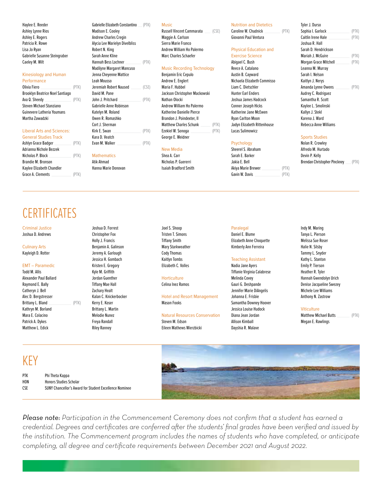| Performance                            |       |
|----------------------------------------|-------|
| Olivia Fiero                           | (PTK) |
| <b>Brooklyn Beatrice Noel Santiago</b> |       |
| Ava Q. Sheedy                          | (PTK) |
| Steven Michael Stanziano               |       |
| Guinevere Latheria Youmans             |       |
| Martha Zawadzki                        |       |
|                                        |       |

| Ashlyn Grace Badger       | (PTK) | Evan M. Walker      | (PTK) |                       | Psychology         |       | Nolan R. Crowley         |
|---------------------------|-------|---------------------|-------|-----------------------|--------------------|-------|--------------------------|
| Adrianna Nichole Bezzek   |       |                     |       | New Media             | Sheerel S. Abraham |       | Alfredo M. Hurtad        |
| Nicholas P. Block         | (PTK) | <b>Mathematics</b>  |       | Shea A. Carr          | Sarah E. Barker    |       | Devin P. Kelly           |
| Brandie M. Bronson        |       | Atik Ahmad          |       | Nicholas P. Guererri  | Jakia E. Bell      |       | <b>Brendan Christoph</b> |
| Kaylee Elizabeth Chandler |       | Hanna Marie Donovan |       | Isaiah Bradford Smith | Akiya Marie Brewer | (PTK) |                          |
| Grace A. Clements         | (PTK  |                     |       |                       | Gavin W. Davis     | (PTK  |                          |

# **CERTIFICATES**

Todd M. Allis **State Act and Tifanie Virginia Calabrese** Heather R. Tyler Tiffanie Virginia Calabrese Heather R. Tyler Alexander Paul Ballard Namah Gwendolyn Urich Jordan Guenther Horticulture Hannah Gwendolyn Urich Urich Hannah Gwendolyn Urich Raymond E. Bally Tifany Mae Hall Celina Inez Ramos Gauri G. Deshpande Denise Jacqueline Swezey Catheryn J. Bell Zachary Healt Jennifer Marie DiAngelis Michele Lee Williams Alec D. Bergstresser **Kalan C. Knickerbocker** Hotel and Resort Management Johanna E. Frisbie **Anthony N. Zastrow** Kathryn M. Borland Brittany L. Martin Jessica Louise Hudock Viticulture Patrick A. Dykes Freya Randall Steven M. Edson Allison Kimball Megan E. Rawlings

Ashley Lynne Rios **Madison E. Cooley Russell Vincent Cammarata** (CSE) Caroline W. Chudnick (PTK) Sophia I. Garlock \_\_\_\_\_\_\_\_\_\_\_\_\_ (PTK) Ashley E. Rogers Andrew Charles Cregin Maggie A. Carlson Giovanni Paul Ventura Caitlin Irene Hale \_\_\_\_\_\_\_\_\_\_\_\_\_\_\_ (PTK) Patricia R. Rowe **Alycia Lee Marielyn Divelbliss** Sierra Marie Franco **Chamber Alycia Communisty Communisty Communisty** Lisa Jo Ryan Robert N. King Andrew William Ho Palermo Physical Education and Sarah D. Hendrickson Gabrielle Susanne Steingraber Sarah Anne Kline Marc Charles Schaefer Exercise Science Mariah J. McGuire (PTK) Caeley M. Wilt Hannah Bess Lochner \_\_\_\_\_\_\_\_\_\_\_ (PTK) Abigael C. Bush Morgan Grace Mitchell \_\_\_\_\_\_\_\_\_\_ (PTK) Madilyne Margaret Mancuso **Music Recording Technology** Reece A. Catalano **Reece A. Catalano** Leanna M. Murray Kinesiology and Human **Sarah I. Nelson** Jenna Cheyenne Mattice **Benjamin Eric Cepulo** Austin B. Cayward Sarah I. Nelson Performance Leah Mousso Andrew E. Englert Nichaela Elizabeth Commisso Kaitlyn J. Nerys Olivia Fiero \_\_\_\_\_\_\_\_\_\_\_\_\_\_\_\_\_\_\_\_\_\_ (PTK) Jeremiah Robert Naused \_\_\_\_\_\_\_ (CSE) Maria F. Hubbel Liam C. Dietschler Amanda Lynne Owens \_\_\_\_\_\_\_\_\_\_ (PTK) Brooklyn Beatrice Noel Santiago David M. Pane Jackson Christopher Mackowski Hunter Earl Enders Audrey C. Rodriguez Ava Q. Sheedy \_\_\_\_\_\_\_\_\_\_\_\_\_\_\_\_\_\_\_ (PTK) John J. Pritchard \_\_\_\_\_\_\_\_\_\_\_\_\_\_\_\_ (PTK) Nathan Olocki Joshua James Hadcock Samantha R. Scott Steven Michael Stanziano Gabrielle Anne Robinson Andrew William Ho Palermo Conner Joseph Hicks Kaylee L. Smolinski Martha Zawadzki Owen R. Romashko Brandon J. Poindexter, II Ryan Carlton Moon Karena J. Ward Cort J. Sherman Matthew Charles Schunk \_\_\_\_\_\_\_ (PTK) Jadyn Elizabeth Rittenhouse Rebecca Anne Williams Liberal Arts and Sciences: Kirk E. Swan \_\_\_\_\_\_\_\_\_\_\_\_\_\_\_\_\_\_\_\_ (PTK) Ezekiel W. Sonoga \_\_\_\_\_\_\_\_\_\_\_\_\_\_ (PTK) Lucas Sulimowicz

Katherine Danielle Pierce Katherine Jane McEwen General Studies Track Kara D. Veatch Kara D. Veatch Studies Company of George E. Weidner Sports Studies Sports Studies

# Haylee E. Reeder **E. Reeder** Gabrielle Elizabeth Constantino (PTK) Music Nutrition and Dietetics **Tyler J. Durso**

| Caroline W. Chudnick  |  |
|-----------------------|--|
| Giovanni Paul Ventura |  |

| Adrianna Nichole Bezzek   |       |                     | New Media             | Sheerel S. Abraham |       | Alfredo M. Hurtado                       |  |
|---------------------------|-------|---------------------|-----------------------|--------------------|-------|------------------------------------------|--|
| Nicholas P. Block         | (PTK) | Mathematics         | Shea A. Carr          | Sarah E. Barker    |       | Devin P. Kelly                           |  |
| Brandie M. Bronson        |       | Atik Ahmad          | Nicholas P. Guererri  | Jakia E. Bell      |       | <b>Brendan Christopher Pinckney</b> (PTK |  |
| Kaylee Elizabeth Chandler |       | Hanna Marie Donovan | Isaiah Bradford Smith | Akiva Marie Brewer | (PTK  |                                          |  |
| Grace A. Clements         | (PTK) |                     |                       | Gavin W. Davis     | (PTK) |                                          |  |

Criminal Justice Joshua D. Forrest Joel S. Shoop Paralegal Indy M. Maring Joshua D. Andrews Christopher Fox Tristen T. Simons Daniel E. Blume Tanya L. Pierson Tanya L. Pierson Christopher Fox Culinary Arts **Benjamin A. Galinson Benjamin A. Galinson** Mary Starkweather Kimberly Ann Ferreira Halie N. Silsby Kayleigh D. Rotter Nature Moreover Jeremy A. Garlough Cody Thomas Tammy L. Snyder Tammy L. Snyder Tammy L. Snyder Jessica H. Gombach Kaitlyn Tombs Teaching Assistant Kathy L. Stanton

Brittany L. Bland \_\_\_\_\_\_\_\_\_\_\_\_\_\_\_\_\_ (PTK) Kerry E. Koser Mason Fooks Mason Fooks Samantha Downey Hoover

# Mara E. Colacino Melodie Nunez Natural Resources Conservation Diana Jean Jordan Matthew Michael Butts (PTK)

Matthew L. Edick **Riley Ranney Eileen Mathews Wierzbicki** Dayshia R. Malave

Holly J. Francis Tifany Smith Elizabeth Anne Choquette Melissa Sue Roser

EMT – Paramedic Kristen E. Gregory Elizabeth C. Volles Nadia Jane Ayers Emily P. Tierson

# KEY

| PTK              | Phi Theta Kappa                                               |
|------------------|---------------------------------------------------------------|
| H <sub>0</sub> N | <b>Honors Studies Scholar</b>                                 |
| <b>CSE</b>       | <b>SUNY Chancellor's Award for Student Excellence Nominee</b> |



*Please note: Participation in the Commencement Ceremony does not confrm that a student has earned a credential. Degrees and certifcates are conferred afer the students' fnal grades have been verifed and issued by the institution. The Commencement program includes the names of students who have completed, or anticipate completing, all degree and certifcate requirements between December 2021 and August 2022.*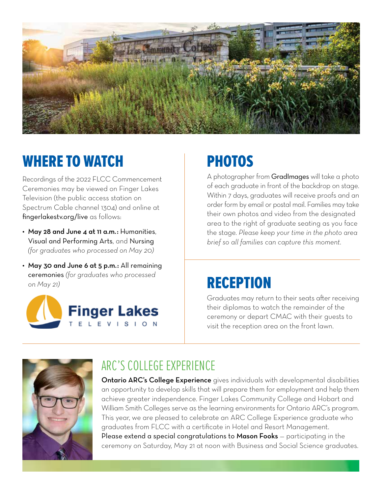

# WHERE TO WATCH

Recordings of the 2022 FLCC Commencement Ceremonies may be viewed on Finger Lakes Television (the public access station on Spectrum Cable channel 1304) and online at fingerlakestv.org/live as follows:

- May 28 and June 4 at 11 a.m.: Humanities, Visual and Performing Arts, and Nursing *(for graduates who processed on May 20)*
- May 30 and June 6 at 5 p.m.: All remaining ceremonies *(for graduates who processed on May 21)*



# PHOTOS

A photographer from GradImages will take a photo of each graduate in front of the backdrop on stage. Within 7 days, graduates will receive proofs and an order form by email or postal mail. Families may take their own photos and video from the designated area to the right of graduate seating as you face the stage. *Please keep your time in the photo area brief so all families can capture this moment.* 

# RECEPTION

Graduates may return to their seats after receiving their diplomas to watch the remainder of the ceremony or depart CMAC with their guests to visit the reception area on the front lawn.



# ARC'S COLLEGE EXPERIENCE

**Ontario ARC's College Experience** gives individuals with developmental disabilities an opportunity to develop skills that will prepare them for employment and help them achieve greater independence. Finger Lakes Community College and Hobart and William Smith Colleges serve as the learning environments for Ontario ARC's program. This year, we are pleased to celebrate an ARC College Experience graduate who graduates from FLCC with a certifcate in Hotel and Resort Management. Please extend a special congratulations to Mason Fooks - participating in the ceremony on Saturday, May 21 at noon with Business and Social Science graduates.